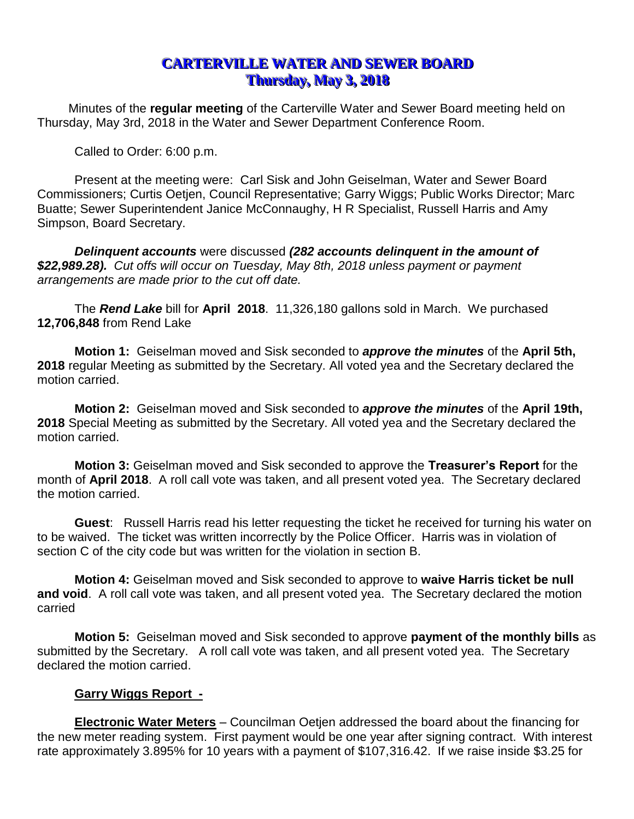# **CARTERVILLE WATER AND SEWER BOARD Thursday, May 3, 2018**

Minutes of the **regular meeting** of the Carterville Water and Sewer Board meeting held on Thursday, May 3rd, 2018 in the Water and Sewer Department Conference Room.

Called to Order: 6:00 p.m.

Present at the meeting were: Carl Sisk and John Geiselman, Water and Sewer Board Commissioners; Curtis Oetjen, Council Representative; Garry Wiggs; Public Works Director; Marc Buatte; Sewer Superintendent Janice McConnaughy, H R Specialist, Russell Harris and Amy Simpson, Board Secretary.

*Delinquent accounts* were discussed *(282 accounts delinquent in the amount of \$22,989.28). Cut offs will occur on Tuesday, May 8th, 2018 unless payment or payment arrangements are made prior to the cut off date.*

The *Rend Lake* bill for **April 2018**. 11,326,180 gallons sold in March. We purchased **12,706,848** from Rend Lake

**Motion 1:** Geiselman moved and Sisk seconded to *approve the minutes* of the **April 5th, 2018** regular Meeting as submitted by the Secretary. All voted yea and the Secretary declared the motion carried.

**Motion 2:** Geiselman moved and Sisk seconded to *approve the minutes* of the **April 19th, 2018** Special Meeting as submitted by the Secretary. All voted yea and the Secretary declared the motion carried.

**Motion 3:** Geiselman moved and Sisk seconded to approve the **Treasurer's Report** for the month of **April 2018**. A roll call vote was taken, and all present voted yea. The Secretary declared the motion carried.

**Guest**: Russell Harris read his letter requesting the ticket he received for turning his water on to be waived. The ticket was written incorrectly by the Police Officer. Harris was in violation of section C of the city code but was written for the violation in section B.

**Motion 4:** Geiselman moved and Sisk seconded to approve to **waive Harris ticket be null and void**. A roll call vote was taken, and all present voted yea. The Secretary declared the motion carried

**Motion 5:** Geiselman moved and Sisk seconded to approve **payment of the monthly bills** as submitted by the Secretary. A roll call vote was taken, and all present voted yea. The Secretary declared the motion carried.

## **Garry Wiggs Report -**

**Electronic Water Meters** – Councilman Oetjen addressed the board about the financing for the new meter reading system. First payment would be one year after signing contract. With interest rate approximately 3.895% for 10 years with a payment of \$107,316.42. If we raise inside \$3.25 for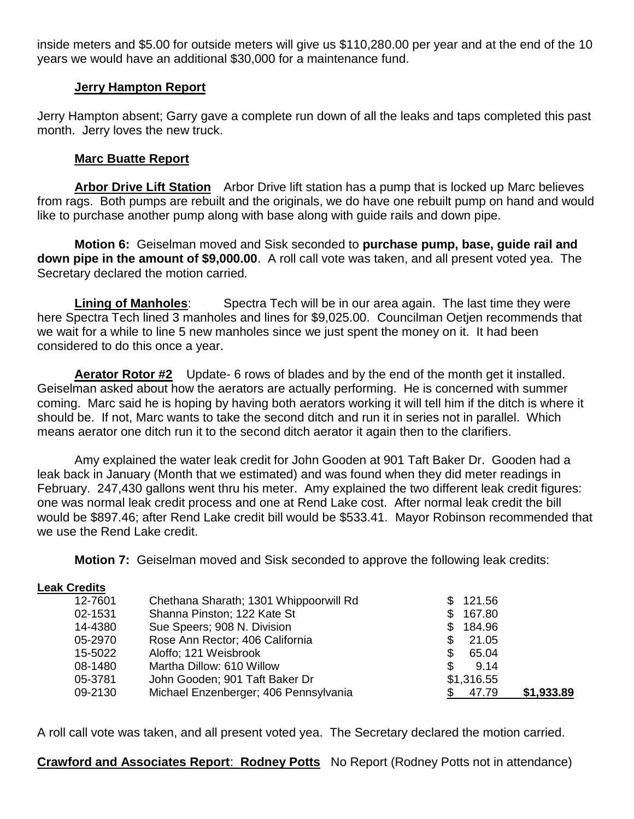inside meters and \$5.00 for outside meters will give us \$110,280.00 per year and at the end of the 10 years we would have an additional \$30,000 for a maintenance fund.

#### **Jerry Hampton Report**

Jerry Hampton absent; Garry gave a complete run down of all the leaks and taps completed this past month. Jerry loves the new truck.

#### **Marc Buatte Report**

**Arbor Drive Lift Station** Arbor Drive lift station has a pump that is locked up Marc believes from rags. Both pumps are rebuilt and the originals, we do have one rebuilt pump on hand and would like to purchase another pump along with base along with guide rails and down pipe.

**Motion 6:** Geiselman moved and Sisk seconded to **purchase pump, base, guide rail and down pipe in the amount of \$9,000.00**. A roll call vote was taken, and all present voted yea. The Secretary declared the motion carried*.*

**Lining of Manholes**: Spectra Tech will be in our area again. The last time they were here Spectra Tech lined 3 manholes and lines for \$9,025.00. Councilman Oetjen recommends that we wait for a while to line 5 new manholes since we just spent the money on it. It had been considered to do this once a year.

**Aerator Rotor #2** Update- 6 rows of blades and by the end of the month get it installed. Geiselman asked about how the aerators are actually performing. He is concerned with summer coming. Marc said he is hoping by having both aerators working it will tell him if the ditch is where it should be. If not, Marc wants to take the second ditch and run it in series not in parallel. Which means aerator one ditch run it to the second ditch aerator it again then to the clarifiers.

Amy explained the water leak credit for John Gooden at 901 Taft Baker Dr. Gooden had a leak back in January (Month that we estimated) and was found when they did meter readings in February. 247,430 gallons went thru his meter. Amy explained the two different leak credit figures: one was normal leak credit process and one at Rend Lake cost. After normal leak credit the bill would be \$897.46; after Rend Lake credit bill would be \$533.41. Mayor Robinson recommended that we use the Rend Lake credit.

**Motion 7:** Geiselman moved and Sisk seconded to approve the following leak credits:

#### **Leak Credits**

| 12-7601 | Chethana Sharath; 1301 Whippoorwill Rd | 121.56        |            |
|---------|----------------------------------------|---------------|------------|
| 02-1531 | Shanna Pinston; 122 Kate St            | 167.80<br>\$. |            |
| 14-4380 | Sue Speers; 908 N. Division            | 184.96<br>\$. |            |
| 05-2970 | Rose Ann Rector; 406 California        | 21.05<br>\$.  |            |
| 15-5022 | Aloffo; 121 Weisbrook                  | 65.04<br>\$.  |            |
| 08-1480 | Martha Dillow: 610 Willow              | \$.<br>9.14   |            |
| 05-3781 | John Gooden; 901 Taft Baker Dr         | \$1,316.55    |            |
| 09-2130 | Michael Enzenberger; 406 Pennsylvania  | 47.79         | \$1,933.89 |

A roll call vote was taken, and all present voted yea. The Secretary declared the motion carried*.*

**Crawford and Associates Report**: **Rodney Potts** No Report (Rodney Potts not in attendance)